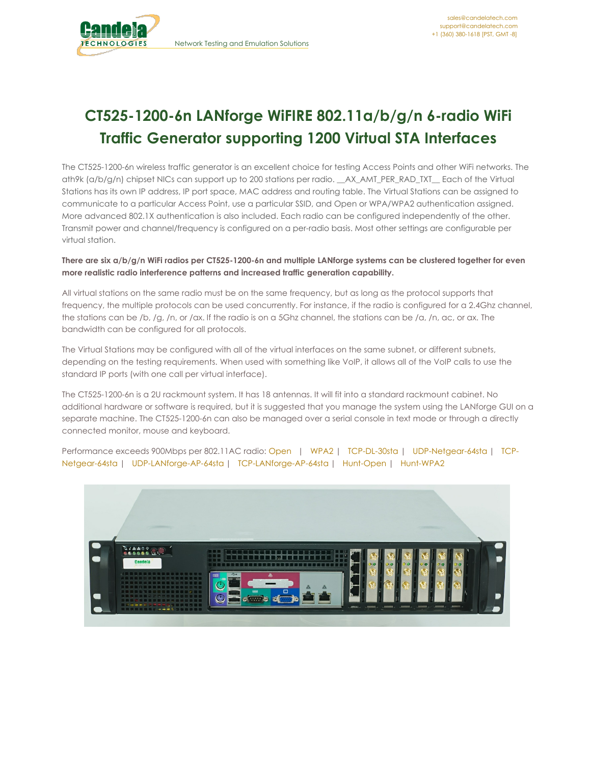

# **CT525-1200-6n LANforge WiFIRE 802.11a/b/g/n 6-radio WiFi Traffic Generator supporting 1200 Virtual STA Interfaces**

The CT525-1200-6n wireless traffic generator is an excellent choice for testing Access Points and other WiFi networks. The ath9k (a/b/g/n) chipset NICs can support up to 200 stations per radio. \_\_AX\_AMT\_PER\_RAD\_TXT\_\_ Each of the Virtual Stations has its own IP address, IP port space, MAC address and routing table. The Virtual Stations can be assigned to communicate to a particular Access Point, use a particular SSID, and Open or WPA/WPA2 authentication assigned. More advanced 802.1X authentication is also included. Each radio can be configured independently of the other. Transmit power and channel/frequency is configured on a per-radio basis. Most other settings are configurable per virtual station.

#### There are six a/b/g/n WiFi radios per CT525-1200-6n and multiple LANforge systems can be clustered together for even **more realistic radio interference patterns and increased traffic generation capability.**

All virtual stations on the same radio must be on the same frequency, but as long as the protocol supports that frequency, the multiple protocols can be used concurrently. For instance, if the radio is configured for a 2.4Ghz channel, the stations can be /b, /g, /n, or /ax. If the radio is on a 5Ghz channel, the stations can be /a, /n, ac, or ax. The bandwidth can be configured for all protocols.

The Virtual Stations may be configured with all of the virtual interfaces on the same subnet, or different subnets, depending on the testing requirements. When used with something like VoIP, it allows all of the VoIP calls to use the standard IP ports (with one call per virtual interface).

The CT525-1200-6n is a 2U rackmount system. It has 18 antennas. It will fit into a standard rackmount cabinet. No additional hardware or software is required, but it is suggested that you manage the system using the LANforge GUI on a separate machine. The CT525-1200-6n can also be managed over a serial console in text mode or through a directly connected monitor, mouse and keyboard.

Performance exceeds 900Mbps per 802.11AC radio: [Open](http://www.candelatech.com/images/data-comp-07-20-2016-1147-with-labels.png) | [WPA2](http://www.candelatech.com/images/data-comp-07-20-2016-1210-with-labels.png) | [TCP-DL-30sta](http://www.candelatech.com/examples/ct525-tcp-dl-30-sta-capacity-wpa2) | [UDP-Netgear-64sta](http://www.candelatech.com/examples/netgear-wifi-cap-64-sta-udp-open) | TCP-Netgear-64sta | [UDP-LANforge-AP-64sta](http://www.candelatech.com/examples/netgear-wifi-cap-64-sta-tcp-open) | [TCP-LANforge-AP-64sta](http://www.candelatech.com/examples/lanforge-wifi-cap-64-sta-tcp-open) | [Hunt-Open](http://www.candelatech.com/examples/netgear-hunt-3x3-open-udp) | [Hunt-WPA2](http://www.candelatech.com/examples/netgear-hunt-3x3-wpa2-udp)

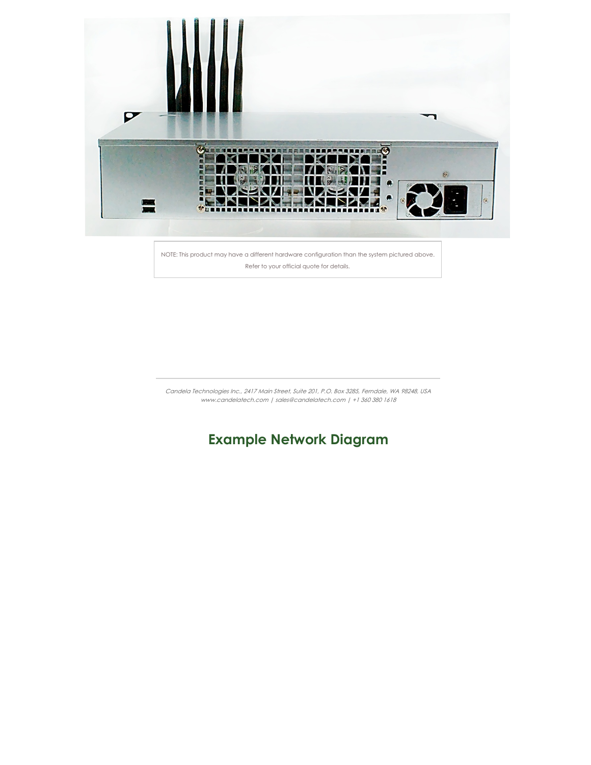

NOTE: This product may have a different hardware configuration than the system pictured above. Refer to your official quote for details.

Candela Technologies Inc., 2417 Main Street, Suite 201, P.O. Box 3285, Ferndale, WA 98248, USA www.candelatech.com | sales@candelatech.com | +1 360 380 1618

## **Example Network Diagram**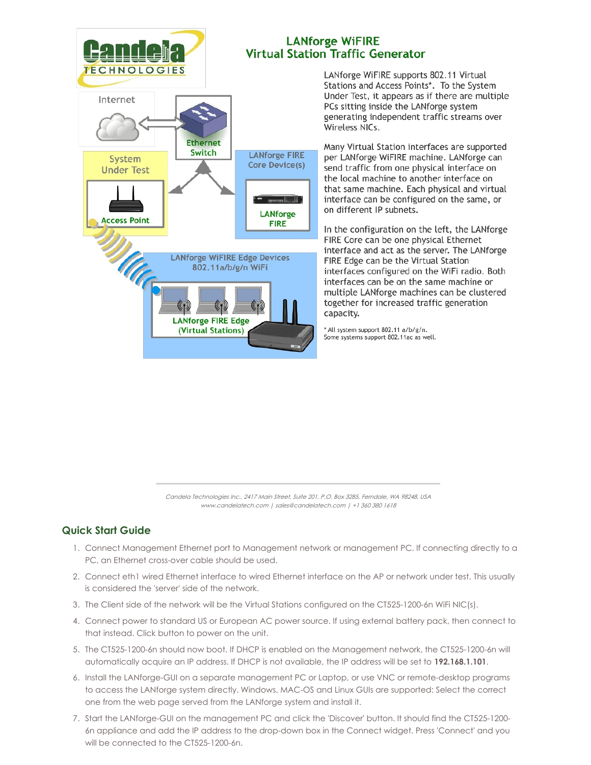

**Ethernet** 

Switch

**LANforge WiFIRE Edge Devices** 

802.11a/b/g/n WiFi

**LANforge FIRE Edge** (Virtual Stations)

**LANforge FIRE** 

Core Device(s)

**CONTROLLED** 

**LANforge** 

**FIRE** 

Internet

System

**Under Test** 

**Access Point** 



LANforge WiFIRE supports 802.11 Virtual Stations and Access Points\*. To the System Under Test, it appears as if there are multiple PCs sitting inside the LANforge system generating independent traffic streams over Wireless NICs.

Many Virtual Station interfaces are supported per LANforge WiFIRE machine. LANforge can send traffic from one physical interface on the local machine to another interface on that same machine. Each physical and virtual interface can be configured on the same, or on different IP subnets.

In the configuration on the left, the LANforge FIRE Core can be one physical Ethernet interface and act as the server. The LANforge FIRE Edge can be the Virtual Station interfaces configured on the WiFi radio. Both interfaces can be on the same machine or multiple LANforge machines can be clustered together for increased traffic generation capacity.

\* All system support 802.11 a/b/g/n. Some systems support 802.11ac as well.

Candela Technologies Inc., 2417 Main Street, Suite 201, P.O. Box 3285, Ferndale, WA 98248, USA www.candelatech.com | sales@candelatech.com | +1 360 380 1618

### **Quick Start Guide**

- 1. Connect Management Ethernet port to Management network or management PC. If connecting directly to a PC, an Ethernet cross-over cable should be used.
- 2. Connect eth1 wired Ethernet interface to wired Ethernet interface on the AP or network under test. This usually is considered the 'server' side of the network.
- 3. The Client side of the network will be the Virtual Stations configured on the CT525-1200-6n WiFi NIC(s).
- 4. Connect power to standard US or European AC power source. If using external battery pack, then connect to that instead. Click button to power on the unit.
- 5. The CT525-1200-6n should now boot. If DHCP is enabled on the Management network, the CT525-1200-6n will automatically acquire an IP address. If DHCP is not available, the IP address will be set to **192.168.1.101**.
- 6. Install the LANforge-GUI on a separate management PC or Laptop, or use VNC or remote-desktop programs to access the LANforge system directly. Windows, MAC-OS and Linux GUIs are supported: Select the correct one from the web page served from the LANforge system and install it.
- 7. Start the LANforge-GUI on the management PC and click the 'Discover' button. It should find the CT525-1200- 6n appliance and add the IP address to the drop-down box in the Connect widget. Press 'Connect' and you will be connected to the CT525-1200-6n.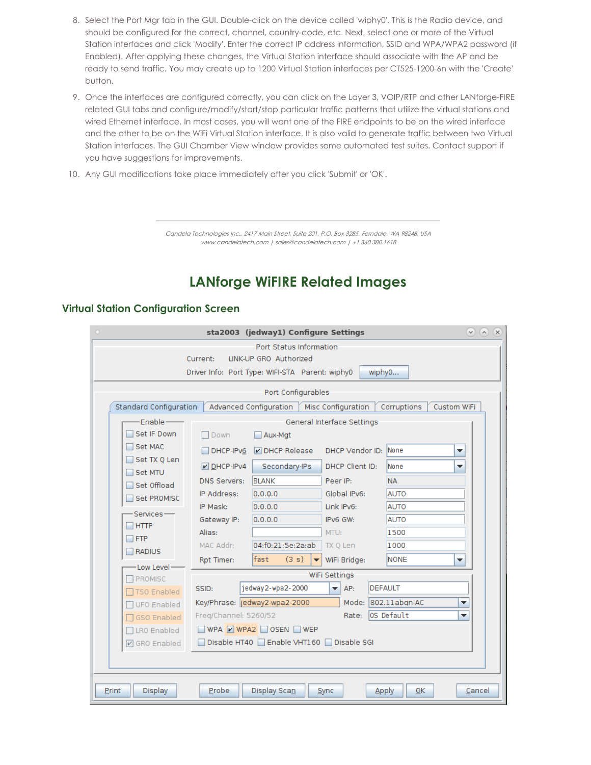- 8. Select the Port Mgr tab in the GUI. Double-click on the device called 'wiphy0'. This is the Radio device, and should be configured for the correct, channel, country-code, etc. Next, select one or more of the Virtual Station interfaces and click 'Modify'. Enter the correct IP address information, SSID and WPA/WPA2 password (if Enabled). After applying these changes, the Virtual Station interface should associate with the AP and be ready to send traffic. You may create up to 1200 Virtual Station interfaces per CT525-1200-6n with the 'Create' button.
- 9. Once the interfaces are configured correctly, you can click on the Layer 3, VOIP/RTP and other LANforge-FIRE related GUI tabs and configure/modify/start/stop particular traffic patterns that utilize the virtual stations and wired Ethernet interface. In most cases, you will want one of the FIRE endpoints to be on the wired interface and the other to be on the WiFi Virtual Station interface. It is also valid to generate traffic between two Virtual Station interfaces. The GUI Chamber View window provides some automated test suites. Contact support if you have suggestions for improvements.
- 10. Any GUI modifications take place immediately after you click 'Submit' or 'OK'.

Candela Technologies Inc., 2417 Main Street, Suite 201, P.O. Box 3285, Ferndale, WA 98248, USA www.candelatech.com | sales@candelatech.com | +1 360 380 1618

## **LANforge WiFIRE Related Images**

#### **Virtual Station Configuration Screen**

| sta2003 (jedway1) Configure Settings                                                                       | $\vee$ $\wedge$<br>$\mathbf{x}$ |  |  |  |  |  |  |  |  |  |  |  |  |
|------------------------------------------------------------------------------------------------------------|---------------------------------|--|--|--|--|--|--|--|--|--|--|--|--|
| Port Status Information                                                                                    |                                 |  |  |  |  |  |  |  |  |  |  |  |  |
| LINK-UP GRO Authorized<br>Current:                                                                         |                                 |  |  |  |  |  |  |  |  |  |  |  |  |
| Driver Info: Port Type: WIFI-STA Parent: wiphy0<br>wiphy0                                                  |                                 |  |  |  |  |  |  |  |  |  |  |  |  |
| Port Configurables                                                                                         |                                 |  |  |  |  |  |  |  |  |  |  |  |  |
| Standard Configuration<br>Advanced Configuration<br>Custom WiFi<br>Misc Configuration<br>Corruptions       |                                 |  |  |  |  |  |  |  |  |  |  |  |  |
| $Fnable-$<br>General Interface Settings                                                                    |                                 |  |  |  |  |  |  |  |  |  |  |  |  |
| Set IF Down<br>$\Box$ Down<br>Aux-Mat                                                                      |                                 |  |  |  |  |  |  |  |  |  |  |  |  |
| Set MAC<br>DHCP Vendor ID: None<br>DHCP Release<br>DHCP-IPv6<br>▼                                          |                                 |  |  |  |  |  |  |  |  |  |  |  |  |
| Set TX 0 Len<br>None<br>$V$ DHCP-IPv4<br>Secondary-IPs<br>DHCP Client ID:<br>▼<br>Set MTU                  |                                 |  |  |  |  |  |  |  |  |  |  |  |  |
| <b>BLANK</b><br><b>NA</b><br><b>DNS Servers:</b><br>Peer IP:<br>Set Offload                                |                                 |  |  |  |  |  |  |  |  |  |  |  |  |
| IP Address:<br>Global IPv6:<br>AUTO<br>0.0.0.0<br>Set PROMISC                                              |                                 |  |  |  |  |  |  |  |  |  |  |  |  |
| IP Mask:<br>0.0.0.0<br>Link IPv6:<br><b>AUTO</b><br>Services-                                              |                                 |  |  |  |  |  |  |  |  |  |  |  |  |
| IPv6 GW:<br>0.0.0.0<br><b>AUTO</b><br>Gateway IP:<br><b>HTTP</b>                                           |                                 |  |  |  |  |  |  |  |  |  |  |  |  |
| Alias:<br>MTU:<br>1500<br><b>FTP</b>                                                                       |                                 |  |  |  |  |  |  |  |  |  |  |  |  |
| MAC Addr:<br>04:f0:21:5e:2a:ab<br>TX Q Len<br>1000<br><b>RADIUS</b>                                        |                                 |  |  |  |  |  |  |  |  |  |  |  |  |
| lfast<br><b>NONE</b><br>(3 s)<br>Rpt Timer:<br>WiFi Bridge:<br>▼<br>$\overline{\phantom{a}}$<br>Low Level- |                                 |  |  |  |  |  |  |  |  |  |  |  |  |
| WiFi Settings<br>$\sqcap$ PROMISC                                                                          |                                 |  |  |  |  |  |  |  |  |  |  |  |  |
| jedway2-wpa2-2000<br><b>DEFAULT</b><br>SSID:<br>AP:<br>▼<br><b>TSO Enabled</b>                             |                                 |  |  |  |  |  |  |  |  |  |  |  |  |
| Mode: 802.11abgn-AC<br>Key/Phrase: jedway2-wpa2-2000<br><b>UFO Enabled</b>                                 | ▼                               |  |  |  |  |  |  |  |  |  |  |  |  |
| lOS Default<br>Freq/Channel: 5260/52<br>Rate:<br><b>GSO Enabled</b>                                        | ▼                               |  |  |  |  |  |  |  |  |  |  |  |  |
| WPA V WPA2 OSEN WEP<br>□LRO Enabled                                                                        |                                 |  |  |  |  |  |  |  |  |  |  |  |  |
| Disable HT40   Enable VHT160  <br>Disable SGI<br><b>☑</b> GRO Enabled                                      |                                 |  |  |  |  |  |  |  |  |  |  |  |  |
|                                                                                                            |                                 |  |  |  |  |  |  |  |  |  |  |  |  |
|                                                                                                            |                                 |  |  |  |  |  |  |  |  |  |  |  |  |
| Display Scan<br>Print<br>Display<br>Probe<br>0K<br>Sync<br><b>Apply</b>                                    | Cancel                          |  |  |  |  |  |  |  |  |  |  |  |  |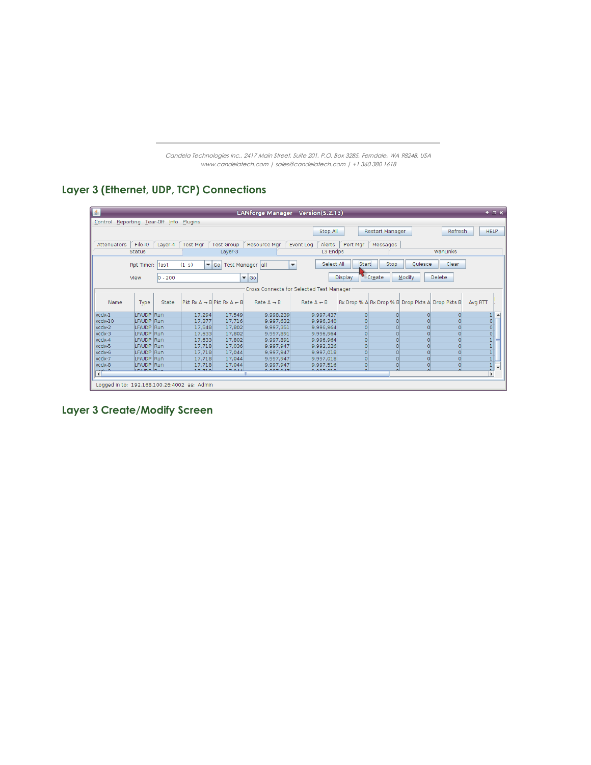Candela Technologies Inc., 2417 Main Street, Suite 201, P.O. Box 3285, Ferndale, WA 98248, USA www.candelatech.com | sales@candelatech.com | +1 360 380 1618

### **Layer 3 (Ethernet, UDP, TCP) Connections**

| 金                                                                                                                                                            |                                             |            |                   |                                                     | LANforge Manager Version(5.2.13) |                        |                                     |                                                 |          |                                      | $+$ $ \times$          |  |  |
|--------------------------------------------------------------------------------------------------------------------------------------------------------------|---------------------------------------------|------------|-------------------|-----------------------------------------------------|----------------------------------|------------------------|-------------------------------------|-------------------------------------------------|----------|--------------------------------------|------------------------|--|--|
| Control Reporting Tear-Off Info Plugins                                                                                                                      |                                             |            |                   |                                                     |                                  |                        |                                     |                                                 |          |                                      |                        |  |  |
| Stop All<br>Restart Manager<br>Refresh                                                                                                                       |                                             |            |                   |                                                     |                                  |                        |                                     |                                                 |          |                                      | <b>HELP</b>            |  |  |
|                                                                                                                                                              |                                             |            |                   |                                                     |                                  |                        |                                     |                                                 |          |                                      |                        |  |  |
| File-IO<br><b>Attenuators</b><br><b>Test Mgr</b><br>Port Mgr<br>Laver-4<br><b>Test Group</b><br><b>Resource Mar</b><br>Event Log<br>Alerts<br>Messages       |                                             |            |                   |                                                     |                                  |                        |                                     |                                                 |          |                                      |                        |  |  |
|                                                                                                                                                              | Status                                      |            |                   | WanLinks<br>L3 Endps<br>Layer-3                     |                                  |                        |                                     |                                                 |          |                                      |                        |  |  |
|                                                                                                                                                              |                                             |            |                   |                                                     |                                  |                        |                                     |                                                 |          |                                      |                        |  |  |
| <b>Start</b><br>Select All<br>Clear<br>Stop<br>Ouiesce<br>(1 s)<br>fast<br>$\blacktriangledown$ Go<br>Test Manager all<br>$\blacktriangledown$<br>Rpt Timer: |                                             |            |                   |                                                     |                                  |                        |                                     |                                                 |          |                                      |                        |  |  |
|                                                                                                                                                              |                                             |            |                   |                                                     |                                  |                        |                                     |                                                 |          |                                      |                        |  |  |
|                                                                                                                                                              | View                                        | $ 0 - 200$ |                   |                                                     | $\blacktriangledown$ Go          |                        | <b>Display</b>                      | Create                                          | Modify   | <b>Delete</b>                        |                        |  |  |
|                                                                                                                                                              | Cross Connects for Selected Test Manager    |            |                   |                                                     |                                  |                        |                                     |                                                 |          |                                      |                        |  |  |
|                                                                                                                                                              |                                             |            |                   |                                                     |                                  |                        |                                     |                                                 |          |                                      |                        |  |  |
| Name                                                                                                                                                         | Type                                        | State      |                   | $P$ kt Rx A $\rightarrow$ B Pkt Rx A $\leftarrow$ B | Rate $A \rightarrow B$           | Rate $A \leftarrow B$  |                                     | Rx Drop % A Rx Drop % B Drop Pkts A Drop Pkts B |          |                                      | Avg RTT                |  |  |
|                                                                                                                                                              |                                             |            |                   |                                                     |                                  |                        |                                     |                                                 |          |                                      |                        |  |  |
| xcdx-1                                                                                                                                                       | LF/UDP Run                                  |            | 17.294            | 17.549                                              | 9,998,239                        | 9.997.437              | $\circ$                             | $\circ$                                         | $\circ$  | $\Omega$                             | $\blacktriangle$<br>11 |  |  |
| xcdx-10                                                                                                                                                      | LF/UDP Run                                  |            | 17,377            | 17,716                                              | 9,997,632                        | 9,996,340              | $\circ$                             | $\Omega$                                        | $\Omega$ | $\Omega$                             | 0                      |  |  |
| xcdx-2                                                                                                                                                       | LF/UDP Run                                  |            | 17,548            | 17,802                                              | 9,997,351                        | 9,996,964              | $\Omega$                            | $\Omega$                                        | $\Omega$ | $\Omega$                             | 0                      |  |  |
| xcdx-3                                                                                                                                                       | LF/UDP Run                                  |            | 17.633            | 17,802                                              | 9,997,891                        | 9.996.964              | $\Omega$                            | $\Omega$                                        | $\Omega$ | $\Omega$                             | 0                      |  |  |
| xcdx-4                                                                                                                                                       | LF/UDP Run                                  |            | 17.633            | 17.802                                              | 9.997.891                        | 9.996.964              | $\overline{0}$                      | $\overline{0}$                                  | $\circ$  | $\overline{0}$                       | 1 <sup>1</sup>         |  |  |
| xcdx-5                                                                                                                                                       | LF/UDP Run                                  |            | 17.718            | 17,036                                              | 9.997.947                        | 9.992.326              | $\circ$                             | $\Omega$                                        | $\Omega$ | $\Omega$                             |                        |  |  |
| xcdx-6                                                                                                                                                       | LF/UDP Run                                  |            | 17.718            | 17,044                                              | 9,997,947                        | 9.997.018              | $\overline{0}$                      | $\Omega$                                        | $\Omega$ | $\Omega$                             | $\mathbf{1}$           |  |  |
| xcdx-7                                                                                                                                                       | LF/UDP Run                                  |            | 17.718            | 17.044                                              | 9.997.947                        | 9.997.018              | $\circ$                             | $\Omega$                                        | $\Omega$ | $\Omega$                             | 1                      |  |  |
| xcdx-8                                                                                                                                                       | LF/UDP Run<br>LEBION DU                     |            | 17,718<br>277.720 | 17.044<br>$7.7.0.4.4$                               | 9.997.947<br>0.007047            | 9.997.516<br>0.007.030 | $\circ$<br>$\overline{\phantom{0}}$ | $\Omega$<br>$\sim$                              | $\circ$  | $\Omega$<br>$\overline{\phantom{0}}$ | $\mathbf{1}$<br>٠      |  |  |
| $\overline{\mathbf{4}}$                                                                                                                                      |                                             |            |                   |                                                     |                                  |                        |                                     |                                                 |          |                                      | N                      |  |  |
|                                                                                                                                                              |                                             |            |                   |                                                     |                                  |                        |                                     |                                                 |          |                                      |                        |  |  |
|                                                                                                                                                              | Logged in to: 192.168.100.26:4002 as: Admin |            |                   |                                                     |                                  |                        |                                     |                                                 |          |                                      |                        |  |  |

**Layer 3 Create/Modify Screen**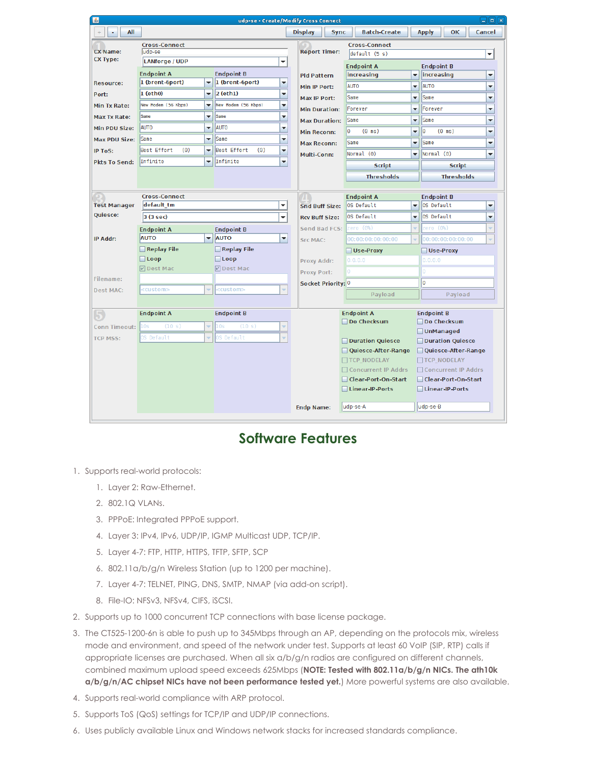| 画                                  |                                    |                                                                                   |                                               |                          | udp-se - Create/Modify Cross Connect   |                                 |                          |                                                          |                       | $\Box$ e $\bm{\mathsf{x}}$ |  |
|------------------------------------|------------------------------------|-----------------------------------------------------------------------------------|-----------------------------------------------|--------------------------|----------------------------------------|---------------------------------|--------------------------|----------------------------------------------------------|-----------------------|----------------------------|--|
| All                                |                                    |                                                                                   |                                               |                          | <b>Display</b><br><b>Sync</b>          | <b>Batch-Create</b>             |                          | <b>Apply</b>                                             | OK                    | Cancel                     |  |
|                                    | <b>Cross-Connect</b>               |                                                                                   | <b>Cross-Connect</b>                          |                          |                                        |                                 |                          |                                                          |                       |                            |  |
| <b>CX Name:</b><br><b>CX Type:</b> | ludp-se<br><b>LANforge / UDP</b>   |                                                                                   |                                               | $\overline{\phantom{a}}$ | <b>Report Timer:</b><br>default (5 s)  |                                 |                          |                                                          |                       |                            |  |
|                                    |                                    |                                                                                   |                                               |                          | <b>Endpoint A</b>                      |                                 |                          |                                                          | <b>Endpoint B</b>     |                            |  |
|                                    | <b>Endpoint A</b>                  |                                                                                   | <b>Endpoint B</b><br>$\overline{\phantom{0}}$ | <b>Pld Pattern</b>       | increasing                             | $\overline{\phantom{a}}$        | increasing<br>▼          |                                                          |                       |                            |  |
| <b>Resource:</b>                   | $1$ (eth $0$ )                     | 1 (brent-6port)<br>1 (brent-6port)<br>$\overline{\phantom{a}}$                    |                                               |                          | Min IP Port:                           | <b>AUTO</b>                     |                          |                                                          | <b>AUTO</b><br>÷      |                            |  |
| Port:                              | New Modem (56 Kbps)                | $\overline{\mathbf{v}}$<br>▼                                                      | $ 2$ (eth1)<br>New Modem (56 Kbps)            | ▼                        | Max IP Port:                           | Same                            |                          | Same<br>÷                                                |                       |                            |  |
| Min Tx Rate:                       |                                    |                                                                                   |                                               | ▼                        | <b>Min Duration:</b>                   | Forever                         |                          | Forever<br>▼                                             |                       |                            |  |
| <b>Max Tx Rate:</b>                | Same                               | $\overline{\phantom{0}}$                                                          | Same                                          | ▼                        | <b>Max Duration:</b>                   | Same                            |                          | Same                                                     | ▼                     |                            |  |
| Min PDU Size:                      | <b>AUTO</b>                        | ▼                                                                                 | <b>AUTO</b>                                   | $\overline{\phantom{0}}$ | <b>Min Reconn:</b>                     | l٥<br>$(0 \text{ ms})$          |                          | I٥<br>$(0 \text{ ms})$<br>▼                              |                       | ÷                          |  |
| <b>Max PDU Size:</b>               | <b>Same</b>                        | ▼                                                                                 | Same<br>٠                                     |                          | <b>Max Reconn:</b>                     | Same<br>▼                       |                          | Same<br>▼                                                |                       |                            |  |
| <b>IP ToS:</b>                     | Best Effort<br>(0)                 | $\overline{\mathbf{v}}$<br>$\overline{\mathbf{v}}$                                | Best Effort<br>(0)<br>▼                       |                          | Multi-Conn:                            | Normal (0)                      | $\overline{\phantom{0}}$ | Normal (0)                                               |                       | ÷                          |  |
| <b>Pkts To Send:</b>               | Infinite                           | Infinite                                                                          | $\overline{\phantom{a}}$                      |                          | <b>Script</b>                          |                                 | <b>Script</b>            |                                                          |                       |                            |  |
|                                    |                                    |                                                                                   |                                               |                          | <b>Thresholds</b>                      | <b>Thresholds</b>               |                          |                                                          |                       |                            |  |
|                                    |                                    |                                                                                   |                                               |                          |                                        |                                 |                          |                                                          |                       |                            |  |
| <b>Test Manager</b>                | <b>Cross-Connect</b><br>default tm |                                                                                   |                                               | ▼                        | <b>Snd Buff Size:</b>                  | <b>Endpoint A</b><br>OS Default | $\blacktriangledown$     | <b>Endpoint B</b><br>OS Default                          |                       |                            |  |
| <b>Quiesce:</b>                    |                                    |                                                                                   |                                               |                          |                                        | OS Default                      |                          |                                                          |                       | ▼                          |  |
|                                    | 3 (3 sec)<br>٠                     |                                                                                   |                                               |                          | <b>Rcv Buff Size:</b><br>Send Bad FCS: | ۰<br>zero (O%)<br>v             |                          | OS Default<br>$\overline{\phantom{0}}$<br>zero (O%)<br>÷ |                       |                            |  |
| IP Addr:                           | <b>Endpoint A</b><br><b>AUTO</b>   | <b>Endpoint B</b><br>AUTO<br>$\overline{\phantom{a}}$<br>$\overline{\phantom{0}}$ |                                               |                          | <b>Src MAC:</b>                        | 00:00:00:00:00:00<br>÷          |                          | 00:00:00:00:00:00<br>÷                                   |                       |                            |  |
|                                    | Replay File                        |                                                                                   | Replay File                                   |                          |                                        | Use-Proxy                       | Use-Proxy                |                                                          |                       |                            |  |
|                                    | $\Box$ Loop                        |                                                                                   | $\Box$ Loop                                   |                          | Proxy Addr:                            | 0.0.0.0                         | 0.0.0.0                  |                                                          |                       |                            |  |
|                                    | <b>☑</b> Dest Mac                  |                                                                                   | Dest Mac                                      |                          |                                        |                                 | Ō                        |                                                          |                       |                            |  |
| Filename:                          |                                    |                                                                                   |                                               |                          | <b>Proxy Port:</b>                     |                                 |                          |                                                          |                       |                            |  |
| <b>Dest MAC:</b>                   | ccustom><br>custom>                |                                                                                   |                                               |                          | Socket Priority: 0                     |                                 |                          | O                                                        |                       |                            |  |
|                                    |                                    |                                                                                   |                                               |                          |                                        | Payload                         |                          |                                                          | Payload               |                            |  |
|                                    | <b>Endpoint A</b>                  |                                                                                   | <b>Endpoint B</b>                             |                          |                                        | <b>Endpoint A</b>               |                          | <b>Endpoint B</b>                                        |                       |                            |  |
|                                    | 10s<br>(10 s)                      | ÷                                                                                 | (10 s)<br>10s                                 |                          |                                        | □Do Checksum                    |                          |                                                          | □ Do Checksum         |                            |  |
| <b>Conn Timeout:</b>               |                                    |                                                                                   |                                               |                          |                                        |                                 |                          | □ UnManaged                                              |                       |                            |  |
| <b>TCP MSS:</b>                    | OS Default                         |                                                                                   | OS Default                                    |                          |                                        | Duration Quiesce                |                          |                                                          | Duration Quiesce      |                            |  |
|                                    |                                    |                                                                                   |                                               |                          |                                        | Quiesce-After-Range             |                          |                                                          | Quiesce-After-Range   |                            |  |
|                                    |                                    |                                                                                   |                                               |                          |                                        | TCP NODELAY                     |                          |                                                          | <b>TCP NODELAY</b>    |                            |  |
|                                    |                                    |                                                                                   |                                               |                          |                                        | □ Concurrent IP Addrs           |                          |                                                          | □ Concurrent IP Addrs |                            |  |
|                                    |                                    |                                                                                   |                                               |                          | Clear-Port-On-Start<br>Linear-IP-Ports |                                 | Clear-Port-On-Start      |                                                          |                       |                            |  |
|                                    |                                    |                                                                                   |                                               |                          |                                        |                                 |                          | Linear-IP-Ports                                          |                       |                            |  |
|                                    |                                    |                                                                                   |                                               |                          | <b>Endp Name:</b>                      | udp-se-A                        |                          | udp-se-B                                                 |                       |                            |  |
|                                    |                                    |                                                                                   |                                               |                          |                                        |                                 |                          |                                                          |                       |                            |  |

### **Software Features**

- 1. Supports real-world protocols:
	- 1. Layer 2: Raw-Ethernet.
	- 2. 802.1Q VLANs.
	- 3. PPPoE: Integrated PPPoE support.
	- 4. Layer 3: IPv4, IPv6, UDP/IP, IGMP Multicast UDP, TCP/IP.
	- 5. Layer 4-7: FTP, HTTP, HTTPS, TFTP, SFTP, SCP
	- 6. 802.11a/b/g/n Wireless Station (up to 1200 per machine).
	- 7. Layer 4-7: TELNET, PING, DNS, SMTP, NMAP (via add-on script).
	- 8. File-IO: NFSv3, NFSv4, CIFS, iSCSI.
- 2. Supports up to 1000 concurrent TCP connections with base license package.
- 3. The CT525-1200-6n is able to push up to 345Mbps through an AP, depending on the protocols mix, wireless mode and environment, and speed of the network under test. Supports at least 60 VoIP (SIP, RTP) calls if appropriate licenses are purchased. When all six a/b/g/n radios are configured on different channels, combined maximum upload speed exceeds 625Mbps (**NOTE: Tested with 802.11a/b/g/n NICs. The ath10k a/b/g/n/AC chipset NICs have not been performance tested yet.**) More powerful systems are also available.
- 4. Supports real-world compliance with ARP protocol.
- 5. Supports ToS (QoS) settings for TCP/IP and UDP/IP connections.
- 6. Uses publicly available Linux and Windows network stacks for increased standards compliance.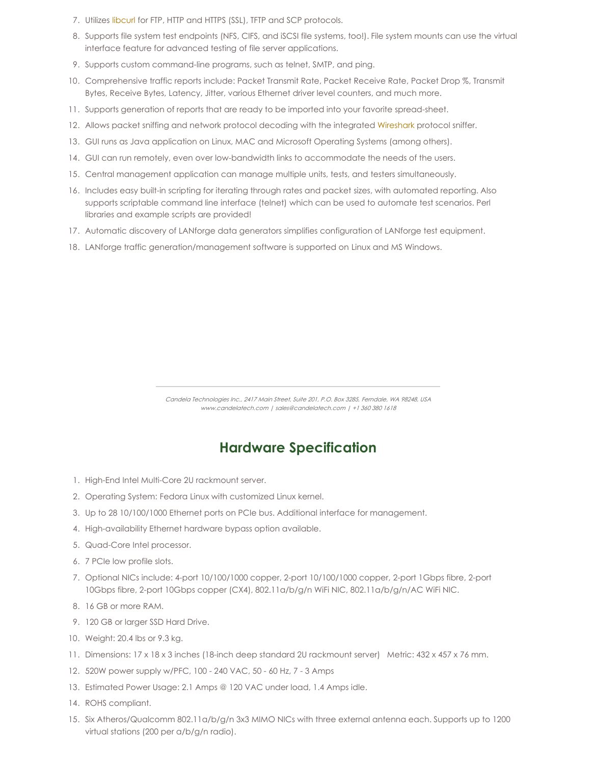- 7. Utilizes [libcurl](http://curl.haxx.se/libcurl/) for FTP, HTTP and HTTPS (SSL), TFTP and SCP protocols.
- 8. Supports file system test endpoints (NFS, CIFS, and iSCSI file systems, too!). File system mounts can use the virtual interface feature for advanced testing of file server applications.
- 9. Supports custom command-line programs, such as telnet, SMTP, and ping.
- 10. Comprehensive traffic reports include: Packet Transmit Rate, Packet Receive Rate, Packet Drop %, Transmit Bytes, Receive Bytes, Latency, Jitter, various Ethernet driver level counters, and much more.
- 11. Supports generation of reports that are ready to be imported into your favorite spread-sheet.
- 12. Allows packet sniffing and network protocol decoding with the integrated [Wireshark](http://www.wireshark.org) protocol sniffer.
- 13. GUI runs as Java application on Linux, MAC and Microsoft Operating Systems (among others).
- 14. GUI can run remotely, even over low-bandwidth links to accommodate the needs of the users.
- 15. Central management application can manage multiple units, tests, and testers simultaneously.
- 16. Includes easy built-in scripting for iterating through rates and packet sizes, with automated reporting. Also supports scriptable command line interface (telnet) which can be used to automate test scenarios. Perl libraries and example scripts are provided!
- 17. Automatic discovery of LANforge data generators simplifies configuration of LANforge test equipment.
- 18. LANforge traffic generation/management software is supported on Linux and MS Windows.

Candela Technologies Inc., 2417 Main Street, Suite 201, P.O. Box 3285, Ferndale, WA 98248, USA www.candelatech.com | sales@candelatech.com | +1 360 380 1618

## **Hardware Specification**

- 1. High-End Intel Multi-Core 2U rackmount server.
- 2. Operating System: Fedora Linux with customized Linux kernel.
- 3. Up to 28 10/100/1000 Ethernet ports on PCIe bus. Additional interface for management.
- 4. High-availability Ethernet hardware bypass option available.
- 5. Quad-Core Intel processor.
- 6. 7 PCIe low profile slots.
- 7. Optional NICs include: 4-port 10/100/1000 copper, 2-port 10/100/1000 copper, 2-port 1Gbps fibre, 2-port 10Gbps fibre, 2-port 10Gbps copper (CX4), 802.11a/b/g/n WiFi NIC, 802.11a/b/g/n/AC WiFi NIC.
- 8. 16 GB or more RAM.
- 9. 120 GB or larger SSD Hard Drive.
- 10. Weight: 20.4 lbs or 9.3 kg.
- 11. Dimensions: 17 x 18 x 3 inches (18-inch deep standard 2U rackmount server) Metric: 432 x 457 x 76 mm.
- 12. 520W power supply w/PFC, 100 240 VAC, 50 60 Hz, 7 3 Amps
- 13. Estimated Power Usage: 2.1 Amps @ 120 VAC under load, 1.4 Amps idle.
- 14. ROHS compliant.
- 15. Six Atheros/Qualcomm 802.11a/b/g/n 3x3 MIMO NICs with three external antenna each. Supports up to 1200 virtual stations (200 per a/b/g/n radio).